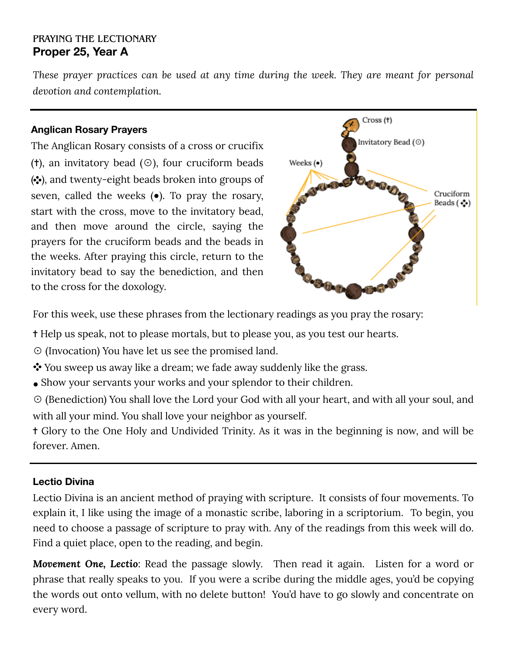# PRAYING THE LECTIONARY **Proper 25, Year A**

*These prayer practices can be used at any time during the week. They are meant for personal devotion and contemplation.*

#### **Anglican Rosary Prayers**

The Anglican Rosary consists of a cross or crucifix ( $\dagger$ ), an invitatory bead ( $\odot$ ), four cruciform beads  $(\cdot \cdot)$ , and twenty-eight beads broken into groups of seven, called the weeks  $(\bullet)$ . To pray the rosary, start with the cross, move to the invitatory bead, and then move around the circle, saying the prayers for the cruciform beads and the beads in the weeks. After praying this circle, return to the invitatory bead to say the benediction, and then to the cross for the doxology.



For this week, use these phrases from the lectionary readings as you pray the rosary:

✝ Help us speak, not to please mortals, but to please you, as you test our hearts.

☉ (Invocation) You have let us see the promised land.

- You sweep us away like a dream; we fade away suddenly like the grass.
- Show your servants your works and your splendor to their children.

☉ (Benediction) You shall love the Lord your God with all your heart, and with all your soul, and with all your mind. You shall love your neighbor as yourself.

✝ Glory to the One Holy and Undivided Trinity. As it was in the beginning is now, and will be forever. Amen.

### **Lectio Divina**

Lectio Divina is an ancient method of praying with scripture. It consists of four movements. To explain it, I like using the image of a monastic scribe, laboring in a scriptorium. To begin, you need to choose a passage of scripture to pray with. Any of the readings from this week will do. Find a quiet place, open to the reading, and begin.

*Movement One, Lectio*: Read the passage slowly. Then read it again. Listen for a word or phrase that really speaks to you. If you were a scribe during the middle ages, you'd be copying the words out onto vellum, with no delete button! You'd have to go slowly and concentrate on every word.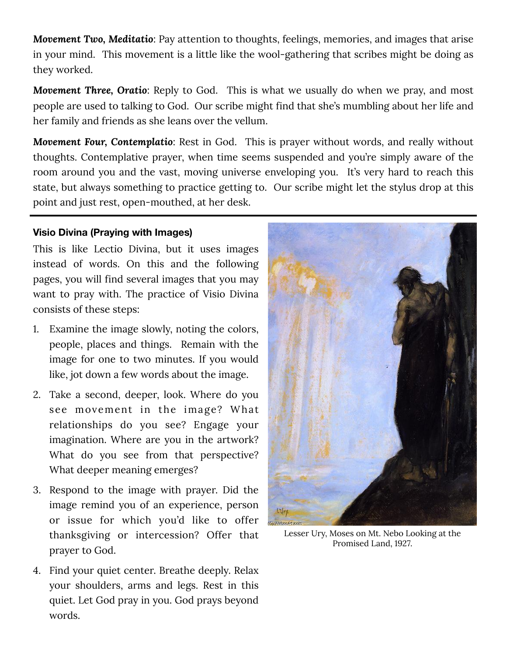*Movement Two, Meditatio*: Pay attention to thoughts, feelings, memories, and images that arise in your mind. This movement is a little like the wool-gathering that scribes might be doing as they worked.

*Movement Three, Oratio*: Reply to God. This is what we usually do when we pray, and most people are used to talking to God. Our scribe might find that she's mumbling about her life and her family and friends as she leans over the vellum.

*Movement Four, Contemplatio*: Rest in God. This is prayer without words, and really without thoughts. Contemplative prayer, when time seems suspended and you're simply aware of the room around you and the vast, moving universe enveloping you. It's very hard to reach this state, but always something to practice getting to. Our scribe might let the stylus drop at this point and just rest, open-mouthed, at her desk.

### **Visio Divina (Praying with Images)**

This is like Lectio Divina, but it uses images instead of words. On this and the following pages, you will find several images that you may want to pray with. The practice of Visio Divina consists of these steps:

- 1. Examine the image slowly, noting the colors, people, places and things. Remain with the image for one to two minutes. If you would like, jot down a few words about the image.
- 2. Take a second, deeper, look. Where do you see movement in the image? What relationships do you see? Engage your imagination. Where are you in the artwork? What do you see from that perspective? What deeper meaning emerges?
- 3. Respond to the image with prayer. Did the image remind you of an experience, person or issue for which you'd like to offer thanksgiving or intercession? Offer that prayer to God.
- 4. Find your quiet center. Breathe deeply. Relax your shoulders, arms and legs. Rest in this quiet. Let God pray in you. God prays beyond words.



Lesser Ury, Moses on Mt. Nebo Looking at the Promised Land, 1927.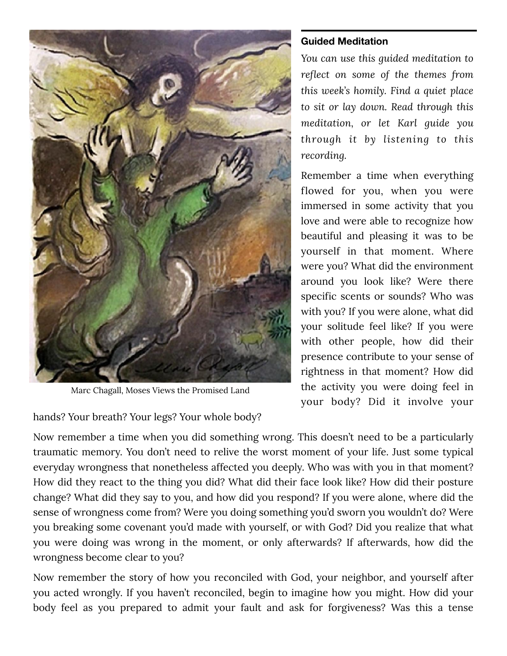

Marc Chagall, Moses Views the Promised Land

hands? Your breath? Your legs? Your whole body?

## **Guided Meditation**

*You can use this guided meditation to reflect on some of the themes from this week's homily. Find a quiet place to sit or lay down. Read through this meditation, or let Karl guide you through it by listening to this recording.* 

Remember a time when everything flowed for you, when you were immersed in some activity that you love and were able to recognize how beautiful and pleasing it was to be yourself in that moment. Where were you? What did the environment around you look like? Were there specific scents or sounds? Who was with you? If you were alone, what did your solitude feel like? If you were with other people, how did their presence contribute to your sense of rightness in that moment? How did the activity you were doing feel in your body? Did it involve your

Now remember a time when you did something wrong. This doesn't need to be a particularly traumatic memory. You don't need to relive the worst moment of your life. Just some typical everyday wrongness that nonetheless affected you deeply. Who was with you in that moment? How did they react to the thing you did? What did their face look like? How did their posture change? What did they say to you, and how did you respond? If you were alone, where did the sense of wrongness come from? Were you doing something you'd sworn you wouldn't do? Were you breaking some covenant you'd made with yourself, or with God? Did you realize that what you were doing was wrong in the moment, or only afterwards? If afterwards, how did the wrongness become clear to you?

Now remember the story of how you reconciled with God, your neighbor, and yourself after you acted wrongly. If you haven't reconciled, begin to imagine how you might. How did your body feel as you prepared to admit your fault and ask for forgiveness? Was this a tense